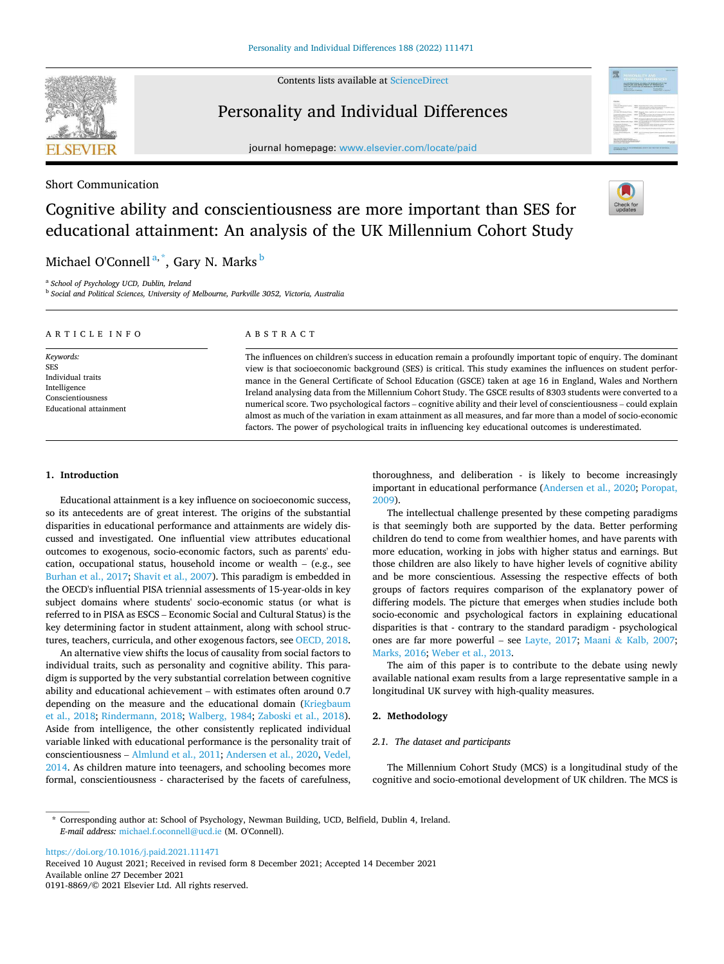Contents lists available at [ScienceDirect](www.sciencedirect.com/science/journal/01918869)



# Personality and Individual Differences

journal homepage: [www.elsevier.com/locate/paid](https://www.elsevier.com/locate/paid)

# Short Communication

# Cognitive ability and conscientiousness are more important than SES for educational attainment: An analysis of the UK Millennium Cohort Study

Michael O'Connell<sup>a,\*</sup>, Gary N. Marks <sup>b</sup>

a *School of Psychology UCD, Dublin, Ireland* 

b *Social and Political Sciences, University of Melbourne, Parkville 3052, Victoria, Australia* 

| ARTICLE INFO                                                                                                | ABSTRACT                                                                                                                                                                                                                                                                                                                                                                                                                                                                                                                                                                                                                                                                                                                                                                                                            |
|-------------------------------------------------------------------------------------------------------------|---------------------------------------------------------------------------------------------------------------------------------------------------------------------------------------------------------------------------------------------------------------------------------------------------------------------------------------------------------------------------------------------------------------------------------------------------------------------------------------------------------------------------------------------------------------------------------------------------------------------------------------------------------------------------------------------------------------------------------------------------------------------------------------------------------------------|
| Keywords:<br><b>SES</b><br>Individual traits<br>Intelligence<br>Conscientiousness<br>Educational attainment | The influences on children's success in education remain a profoundly important topic of enquiry. The dominant<br>view is that socioeconomic background (SES) is critical. This study examines the influences on student perfor-<br>mance in the General Certificate of School Education (GSCE) taken at age 16 in England, Wales and Northern<br>Ireland analysing data from the Millennium Cohort Study. The GSCE results of 8303 students were converted to a<br>numerical score. Two psychological factors – cognitive ability and their level of conscientiousness – could explain<br>almost as much of the variation in exam attainment as all measures, and far more than a model of socio-economic<br>factors. The power of psychological traits in influencing key educational outcomes is underestimated. |

## **1. Introduction**

Educational attainment is a key influence on socioeconomic success, so its antecedents are of great interest. The origins of the substantial disparities in educational performance and attainments are widely discussed and investigated. One influential view attributes educational outcomes to exogenous, socio-economic factors, such as parents' education, occupational status, household income or wealth – (e.g., see [Burhan et al., 2017; Shavit et al., 2007\)](#page-3-0). This paradigm is embedded in the OECD's influential PISA triennial assessments of 15-year-olds in key subject domains where students' socio-economic status (or what is referred to in PISA as ESCS – Economic Social and Cultural Status) is the key determining factor in student attainment, along with school structures, teachers, curricula, and other exogenous factors, see [OECD, 2018](#page-3-0).

An alternative view shifts the locus of causality from social factors to individual traits, such as personality and cognitive ability. This paradigm is supported by the very substantial correlation between cognitive ability and educational achievement – with estimates often around 0.7 depending on the measure and the educational domain [\(Kriegbaum](#page-3-0)  [et al., 2018;](#page-3-0) [Rindermann, 2018](#page-3-0); [Walberg, 1984](#page-3-0); [Zaboski et al., 2018](#page-3-0)). Aside from intelligence, the other consistently replicated individual variable linked with educational performance is the personality trait of conscientiousness – [Almlund et al., 2011; Andersen et al., 2020, Vedel,](#page-3-0)  [2014.](#page-3-0) As children mature into teenagers, and schooling becomes more formal, conscientiousness - characterised by the facets of carefulness,

thoroughness, and deliberation - is likely to become increasingly important in educational performance [\(Andersen et al., 2020](#page-3-0); [Poropat,](#page-3-0)  [2009\)](#page-3-0).

The intellectual challenge presented by these competing paradigms is that seemingly both are supported by the data. Better performing children do tend to come from wealthier homes, and have parents with more education, working in jobs with higher status and earnings. But those children are also likely to have higher levels of cognitive ability and be more conscientious. Assessing the respective effects of both groups of factors requires comparison of the explanatory power of differing models. The picture that emerges when studies include both socio-economic and psychological factors in explaining educational disparities is that - contrary to the standard paradigm - psychological ones are far more powerful – see [Layte, 2017](#page-3-0); Maani & [Kalb, 2007](#page-3-0); [Marks, 2016; Weber et al., 2013.](#page-3-0)

The aim of this paper is to contribute to the debate using newly available national exam results from a large representative sample in a longitudinal UK survey with high-quality measures.

# **2. Methodology**

#### *2.1. The dataset and participants*

The Millennium Cohort Study (MCS) is a longitudinal study of the cognitive and socio-emotional development of UK children. The MCS is

<https://doi.org/10.1016/j.paid.2021.111471>

Available online 27 December 2021 0191-8869/© 2021 Elsevier Ltd. All rights reserved. Received 10 August 2021; Received in revised form 8 December 2021; Accepted 14 December 2021



<sup>\*</sup> Corresponding author at: School of Psychology, Newman Building, UCD, Belfield, Dublin 4, Ireland. *E-mail address:* [michael.f.oconnell@ucd.ie](mailto:michael.f.oconnell@ucd.ie) (M. O'Connell).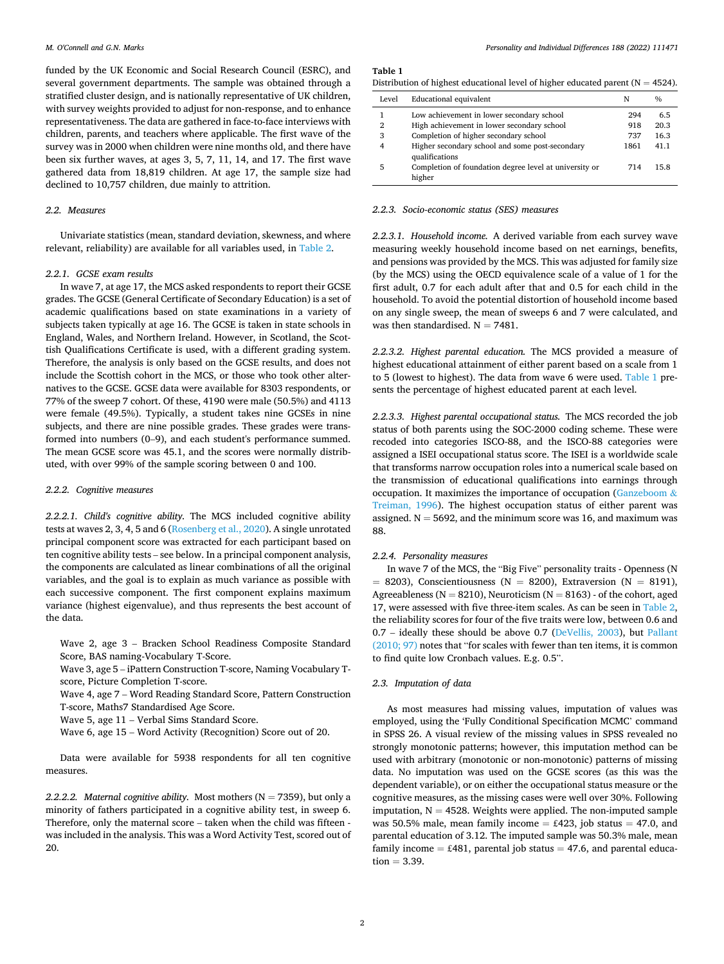funded by the UK Economic and Social Research Council (ESRC), and several government departments. The sample was obtained through a stratified cluster design, and is nationally representative of UK children, with survey weights provided to adjust for non-response, and to enhance representativeness. The data are gathered in face-to-face interviews with children, parents, and teachers where applicable. The first wave of the survey was in 2000 when children were nine months old, and there have been six further waves, at ages 3, 5, 7, 11, 14, and 17. The first wave gathered data from 18,819 children. At age 17, the sample size had declined to 10,757 children, due mainly to attrition.

#### *2.2. Measures*

Univariate statistics (mean, standard deviation, skewness, and where relevant, reliability) are available for all variables used, in [Table 2.](#page-2-0)

### *2.2.1. GCSE exam results*

In wave 7, at age 17, the MCS asked respondents to report their GCSE grades. The GCSE (General Certificate of Secondary Education) is a set of academic qualifications based on state examinations in a variety of subjects taken typically at age 16. The GCSE is taken in state schools in England, Wales, and Northern Ireland. However, in Scotland, the Scottish Qualifications Certificate is used, with a different grading system. Therefore, the analysis is only based on the GCSE results, and does not include the Scottish cohort in the MCS, or those who took other alternatives to the GCSE. GCSE data were available for 8303 respondents, or 77% of the sweep 7 cohort. Of these, 4190 were male (50.5%) and 4113 were female (49.5%). Typically, a student takes nine GCSEs in nine subjects, and there are nine possible grades. These grades were transformed into numbers (0–9), and each student's performance summed. The mean GCSE score was 45.1, and the scores were normally distributed, with over 99% of the sample scoring between 0 and 100.

#### *2.2.2. Cognitive measures*

*2.2.2.1. Child's cognitive ability.* The MCS included cognitive ability tests at waves 2, 3, 4, 5 and 6 [\(Rosenberg et al., 2020](#page-3-0)). A single unrotated principal component score was extracted for each participant based on ten cognitive ability tests – see below. In a principal component analysis, the components are calculated as linear combinations of all the original variables, and the goal is to explain as much variance as possible with each successive component. The first component explains maximum variance (highest eigenvalue), and thus represents the best account of the data.

Wave 2, age 3 – Bracken School Readiness Composite Standard Score, BAS naming-Vocabulary T-Score.

Wave 3, age 5 – iPattern Construction T-score, Naming Vocabulary Tscore, Picture Completion T-score.

Wave 4, age 7 – Word Reading Standard Score, Pattern Construction T-score, Maths7 Standardised Age Score.

Wave 5, age 11 – Verbal Sims Standard Score.

Wave 6, age 15 – Word Activity (Recognition) Score out of 20.

Data were available for 5938 respondents for all ten cognitive measures.

*2.2.2.2. Maternal cognitive ability.* Most mothers  $(N = 7359)$ , but only a minority of fathers participated in a cognitive ability test, in sweep 6. Therefore, only the maternal score – taken when the child was fifteen was included in the analysis. This was a Word Activity Test, scored out of 20.

**Table 1** 

Distribution of highest educational level of higher educated parent ( $N = 4524$ ).

| Level | <b>Educational equivalent</b>                                     | N    | $\frac{0}{0}$ |
|-------|-------------------------------------------------------------------|------|---------------|
|       | Low achievement in lower secondary school                         | 294  | 6.5           |
| 2     | High achievement in lower secondary school                        | 918  | 20.3          |
| 3     | Completion of higher secondary school                             | 737  | 16.3          |
|       | Higher secondary school and some post-secondary<br>qualifications | 1861 | 41.1          |
| 5     | Completion of foundation degree level at university or<br>higher  | 714  | 15.8          |

## *2.2.3. Socio-economic status (SES) measures*

*2.2.3.1. Household income.* A derived variable from each survey wave measuring weekly household income based on net earnings, benefits, and pensions was provided by the MCS. This was adjusted for family size (by the MCS) using the OECD equivalence scale of a value of 1 for the first adult, 0.7 for each adult after that and 0.5 for each child in the household. To avoid the potential distortion of household income based on any single sweep, the mean of sweeps 6 and 7 were calculated, and was then standardised.  $N = 7481$ .

*2.2.3.2. Highest parental education.* The MCS provided a measure of highest educational attainment of either parent based on a scale from 1 to 5 (lowest to highest). The data from wave 6 were used. Table 1 presents the percentage of highest educated parent at each level.

*2.2.3.3. Highest parental occupational status.* The MCS recorded the job status of both parents using the SOC-2000 coding scheme. These were recoded into categories ISCO-88, and the ISCO-88 categories were assigned a ISEI occupational status score. The ISEI is a worldwide scale that transforms narrow occupation roles into a numerical scale based on the transmission of educational qualifications into earnings through occupation. It maximizes the importance of occupation [\(Ganzeboom](#page-3-0) & [Treiman, 1996](#page-3-0)). The highest occupation status of either parent was assigned.  $N = 5692$ , and the minimum score was 16, and maximum was 88.

#### *2.2.4. Personality measures*

In wave 7 of the MCS, the "Big Five" personality traits - Openness (N  $= 8203$ ), Conscientiousness (N = 8200), Extraversion (N = 8191), Agreeableness ( $N = 8210$ ), Neuroticism ( $N = 8163$ ) - of the cohort, aged 17, were assessed with five three-item scales. As can be seen in [Table 2](#page-2-0), the reliability scores for four of the five traits were low, between 0.6 and 0.7 – ideally these should be above 0.7 [\(DeVellis, 2003](#page-3-0)), but [Pallant](#page-3-0)  [\(2010; 97\)](#page-3-0) notes that "for scales with fewer than ten items, it is common to find quite low Cronbach values. E.g. 0.5".

#### *2.3. Imputation of data*

As most measures had missing values, imputation of values was employed, using the 'Fully Conditional Specification MCMC' command in SPSS 26. A visual review of the missing values in SPSS revealed no strongly monotonic patterns; however, this imputation method can be used with arbitrary (monotonic or non-monotonic) patterns of missing data. No imputation was used on the GCSE scores (as this was the dependent variable), or on either the occupational status measure or the cognitive measures, as the missing cases were well over 30%. Following imputation,  $N = 4528$ . Weights were applied. The non-imputed sample was 50.5% male, mean family income =  $£423$ , job status = 47.0, and parental education of 3.12. The imputed sample was 50.3% male, mean family income  $=$  £481, parental job status  $=$  47.6, and parental educa $tion = 3.39.$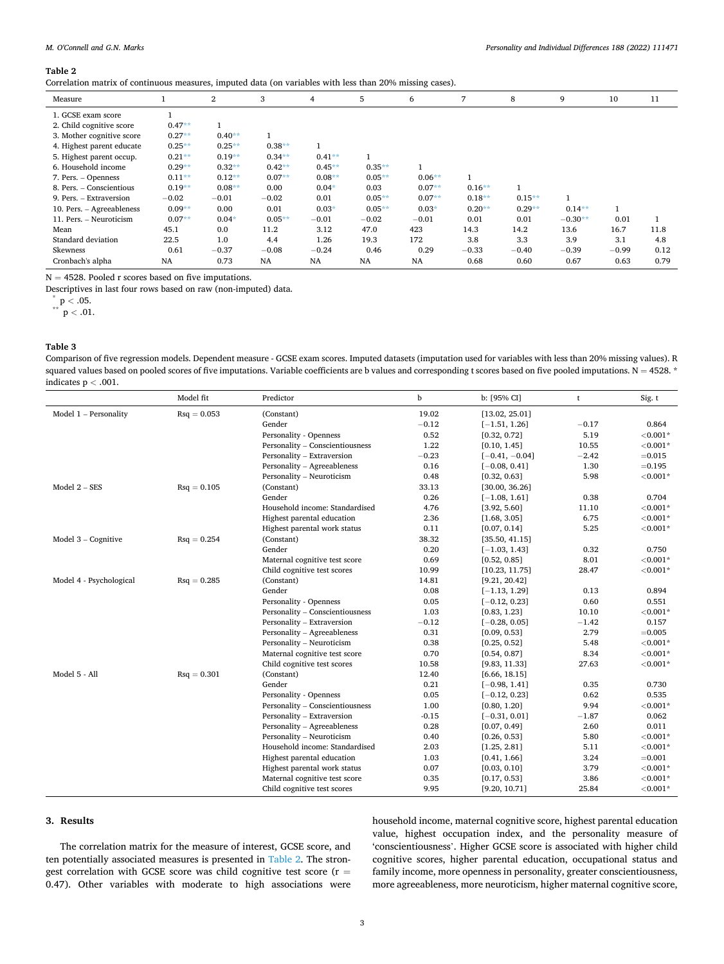#### <span id="page-2-0"></span>**Table 2**

Correlation matrix of continuous measures, imputed data (on variables with less than 20% missing cases).

| Measure                   |           | $\overline{2}$ | 3         | $\overline{4}$ | 5        | 6         | 7        | 8         | 9         | 10      | 11   |
|---------------------------|-----------|----------------|-----------|----------------|----------|-----------|----------|-----------|-----------|---------|------|
| 1. GCSE exam score        |           |                |           |                |          |           |          |           |           |         |      |
| 2. Child cognitive score  | $0.47**$  |                |           |                |          |           |          |           |           |         |      |
| 3. Mother cognitive score | $0.27**$  | $0.40**$       |           |                |          |           |          |           |           |         |      |
| 4. Highest parent educate | $0.25**$  | $0.25**$       | $0.38**$  | $\mathbf{1}$   |          |           |          |           |           |         |      |
| 5. Highest parent occup.  | $0.21**$  | $0.19**$       | $0.34***$ | $0.41**$       |          |           |          |           |           |         |      |
| 6. Household income       | $0.29**$  | $0.32**$       | $0.42**$  | $0.45***$      | $0.35**$ |           |          |           |           |         |      |
| 7. Pers. – Openness       | $0.11**$  | $0.12**$       | $0.07**$  | $0.08**$       | $0.05**$ | $0.06**$  | 1        |           |           |         |      |
| 8. Pers. - Conscientious  | $0.19**$  | $0.08**$       | 0.00      | $0.04*$        | 0.03     | $0.07**$  | $0.16**$ |           |           |         |      |
| 9. Pers. - Extraversion   | $-0.02$   | $-0.01$        | $-0.02$   | 0.01           | $0.05**$ | $0.07**$  | $0.18**$ | $0.15***$ |           |         |      |
| 10. Pers. - Agreeableness | $0.09**$  | 0.00           | 0.01      | $0.03*$        | $0.05**$ | $0.03*$   | $0.20**$ | $0.29**$  | $0.14***$ |         |      |
| 11. Pers. - Neuroticism   | $0.07**$  | $0.04*$        | $0.05**$  | $-0.01$        | $-0.02$  | $-0.01$   | 0.01     | 0.01      | $-0.30**$ | 0.01    |      |
| Mean                      | 45.1      | 0.0            | 11.2      | 3.12           | 47.0     | 423       | 14.3     | 14.2      | 13.6      | 16.7    | 11.8 |
| Standard deviation        | 22.5      | 1.0            | 4.4       | 1.26           | 19.3     | 172       | 3.8      | 3.3       | 3.9       | 3.1     | 4.8  |
| Skewness                  | 0.61      | $-0.37$        | $-0.08$   | $-0.24$        | 0.46     | 0.29      | $-0.33$  | $-0.40$   | $-0.39$   | $-0.99$ | 0.12 |
| Cronbach's alpha          | <b>NA</b> | 0.73           | <b>NA</b> | NA             | NA       | <b>NA</b> | 0.68     | 0.60      | 0.67      | 0.63    | 0.79 |

 $N = 4528$ . Pooled r scores based on five imputations.

Descriptives in last four rows based on raw (non-imputed) data.

 $p < .05$ .

 $p < .01$ .

# **Table 3**

Comparison of five regression models. Dependent measure - GCSE exam scores. Imputed datasets (imputation used for variables with less than 20% missing values). R squared values based on pooled scores of five imputations. Variable coefficients are b values and corresponding t scores based on five pooled imputations.  $N = 4528$ . \* indicates p *<* .001.

|                         | Model fit            | Predictor                       | b       | b: [95% CI]      | t       | Sig. t      |
|-------------------------|----------------------|---------------------------------|---------|------------------|---------|-------------|
| Model 1 - Personality   | $\text{Rsq} = 0.053$ | (Constant)                      | 19.02   | [13.02, 25.01]   |         |             |
|                         |                      | Gender                          | $-0.12$ | $[-1.51, 1.26]$  | $-0.17$ | 0.864       |
|                         |                      | Personality - Openness          | 0.52    | [0.32, 0.72]     | 5.19    | ${<}0.001*$ |
|                         |                      | Personality - Conscientiousness | 1.22    | [0.10, 1.45]     | 10.55   | ${<}0.001*$ |
|                         |                      | Personality - Extraversion      | $-0.23$ | $[-0.41, -0.04]$ | $-2.42$ | $=0.015$    |
|                         |                      | Personality - Agreeableness     | 0.16    | $[-0.08, 0.41]$  | 1.30    | $=0.195$    |
|                         |                      | Personality - Neuroticism       | 0.48    | [0.32, 0.63]     | 5.98    | ${<}0.001*$ |
| Model $2 - SES$         | $\text{Rsq} = 0.105$ | (Constant)                      | 33.13   | [30.00, 36.26]   |         |             |
|                         |                      | Gender                          | 0.26    | $[-1.08, 1.61]$  | 0.38    | 0.704       |
|                         |                      | Household income: Standardised  | 4.76    | [3.92, 5.60]     | 11.10   | ${<}0.001*$ |
|                         |                      | Highest parental education      | 2.36    | [1.68, 3.05]     | 6.75    | ${<}0.001*$ |
|                         |                      | Highest parental work status    | 0.11    | [0.07, 0.14]     | 5.25    | ${<}0.001*$ |
| Model 3 - Cognitive     | $\text{Rsq} = 0.254$ | (Constant)                      | 38.32   | [35.50, 41.15]   |         |             |
|                         |                      | Gender                          | 0.20    | $[-1.03, 1.43]$  | 0.32    | 0.750       |
|                         |                      | Maternal cognitive test score   | 0.69    | [0.52, 0.85]     | 8.01    | ${<}0.001*$ |
|                         |                      | Child cognitive test scores     | 10.99   | [10.23, 11.75]   | 28.47   | ${<}0.001*$ |
| Model 4 - Psychological | $\text{Rsq} = 0.285$ | (Constant)                      | 14.81   | [9.21, 20.42]    |         |             |
|                         |                      | Gender                          | 0.08    | $[-1.13, 1.29]$  | 0.13    | 0.894       |
|                         |                      | Personality - Openness          | 0.05    | $[-0.12, 0.23]$  | 0.60    | 0.551       |
|                         |                      | Personality - Conscientiousness | 1.03    | [0.83, 1.23]     | 10.10   | ${<}0.001*$ |
|                         |                      | Personality - Extraversion      | $-0.12$ | $[-0.28, 0.05]$  | $-1.42$ | 0.157       |
|                         |                      | Personality - Agreeableness     | 0.31    | [0.09, 0.53]     | 2.79    | $=0.005$    |
|                         |                      | Personality - Neuroticism       | 0.38    | [0.25, 0.52]     | 5.48    | ${<}0.001*$ |
|                         |                      | Maternal cognitive test score   | 0.70    | [0.54, 0.87]     | 8.34    | ${<}0.001*$ |
|                         |                      | Child cognitive test scores     | 10.58   | [9.83, 11.33]    | 27.63   | ${<}0.001*$ |
| Model 5 - All           | $\text{Rsq} = 0.301$ | (Constant)                      | 12.40   | [6.66, 18.15]    |         |             |
|                         |                      | Gender                          | 0.21    | $[-0.98, 1.41]$  | 0.35    | 0.730       |
|                         |                      | Personality - Openness          | 0.05    | $[-0.12, 0.23]$  | 0.62    | 0.535       |
|                         |                      | Personality - Conscientiousness | 1.00    | [0.80, 1.20]     | 9.94    | ${<}0.001*$ |
|                         |                      | Personality - Extraversion      | $-0.15$ | $[-0.31, 0.01]$  | $-1.87$ | 0.062       |
|                         |                      | Personality - Agreeableness     | 0.28    | [0.07, 0.49]     | 2.60    | 0.011       |
|                         |                      | Personality - Neuroticism       | 0.40    | [0.26, 0.53]     | 5.80    | ${<}0.001*$ |
|                         |                      | Household income: Standardised  | 2.03    | [1.25, 2.81]     | 5.11    | ${<}0.001*$ |
|                         |                      | Highest parental education      | 1.03    | [0.41, 1.66]     | 3.24    | $=0.001$    |
|                         |                      | Highest parental work status    | 0.07    | [0.03, 0.10]     | 3.79    | $< 0.001*$  |
|                         |                      | Maternal cognitive test score   | 0.35    | [0.17, 0.53]     | 3.86    | ${<}0.001*$ |
|                         |                      | Child cognitive test scores     | 9.95    | [9.20, 10.71]    | 25.84   | ${<}0.001*$ |

### **3. Results**

The correlation matrix for the measure of interest, GCSE score, and ten potentially associated measures is presented in Table 2. The strongest correlation with GCSE score was child cognitive test score (r = 0.47). Other variables with moderate to high associations were household income, maternal cognitive score, highest parental education value, highest occupation index, and the personality measure of 'conscientiousness'. Higher GCSE score is associated with higher child cognitive scores, higher parental education, occupational status and family income, more openness in personality, greater conscientiousness, more agreeableness, more neuroticism, higher maternal cognitive score,